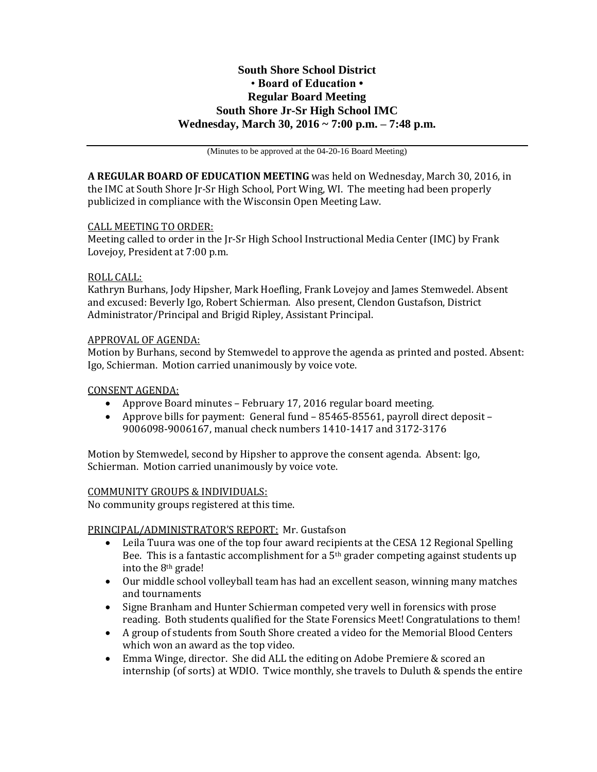# **South Shore School District** • **Board of Education • Regular Board Meeting South Shore Jr-Sr High School IMC Wednesday, March 30, 2016 ~ 7:00 p.m. – 7:48 p.m.**

(Minutes to be approved at the 04-20-16 Board Meeting)

**A REGULAR BOARD OF EDUCATION MEETING** was held on Wednesday, March 30, 2016, in the IMC at South Shore Jr-Sr High School, Port Wing, WI. The meeting had been properly publicized in compliance with the Wisconsin Open Meeting Law.

#### CALL MEETING TO ORDER:

Meeting called to order in the Jr-Sr High School Instructional Media Center (IMC) by Frank Lovejoy, President at 7:00 p.m.

### ROLL CALL:

Kathryn Burhans, Jody Hipsher, Mark Hoefling, Frank Lovejoy and James Stemwedel. Absent and excused: Beverly Igo, Robert Schierman. Also present, Clendon Gustafson, District Administrator/Principal and Brigid Ripley, Assistant Principal.

### APPROVAL OF AGENDA:

Motion by Burhans, second by Stemwedel to approve the agenda as printed and posted. Absent: Igo, Schierman. Motion carried unanimously by voice vote.

#### CONSENT AGENDA:

- Approve Board minutes February 17, 2016 regular board meeting.
- Approve bills for payment: General fund 85465-85561, payroll direct deposit 9006098-9006167, manual check numbers 1410-1417 and 3172-3176

Motion by Stemwedel, second by Hipsher to approve the consent agenda. Absent: Igo, Schierman. Motion carried unanimously by voice vote.

#### COMMUNITY GROUPS & INDIVIDUALS:

No community groups registered at this time.

## PRINCIPAL/ADMINISTRATOR'S REPORT: Mr. Gustafson

- Leila Tuura was one of the top four award recipients at the CESA 12 Regional Spelling Bee. This is a fantastic accomplishment for a  $5<sup>th</sup>$  grader competing against students up into the 8th grade!
- Our middle school volleyball team has had an excellent season, winning many matches and tournaments
- Signe Branham and Hunter Schierman competed very well in forensics with prose reading. Both students qualified for the State Forensics Meet! Congratulations to them!
- A group of students from South Shore created a video for the Memorial Blood Centers which won an award as the top video.
- Emma Winge, director. She did ALL the editing on Adobe Premiere & scored an internship (of sorts) at WDIO. Twice monthly, she travels to Duluth & spends the entire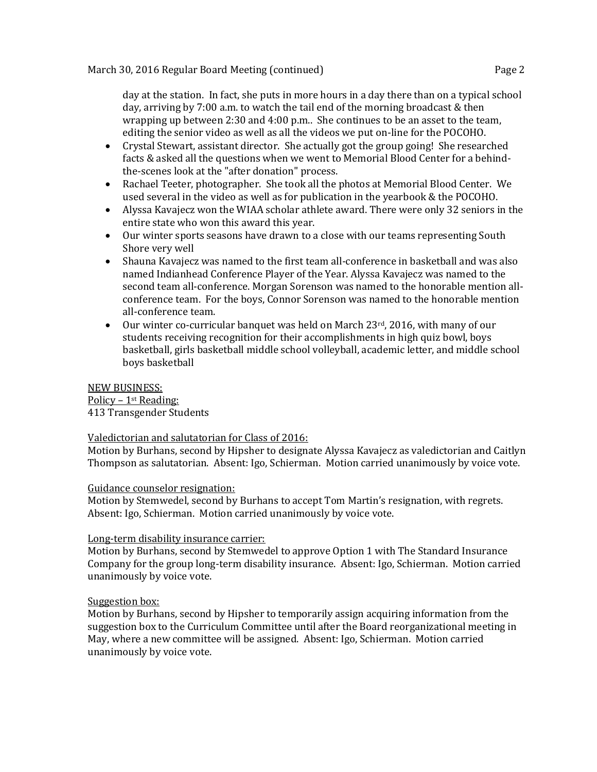day at the station. In fact, she puts in more hours in a day there than on a typical school day, arriving by 7:00 a.m. to watch the tail end of the morning broadcast & then wrapping up between 2:30 and 4:00 p.m.. She continues to be an asset to the team, editing the senior video as well as all the videos we put on-line for the POCOHO.

- Crystal Stewart, assistant director. She actually got the group going! She researched facts & asked all the questions when we went to Memorial Blood Center for a behindthe-scenes look at the "after donation" process.
- Rachael Teeter, photographer. She took all the photos at Memorial Blood Center. We used several in the video as well as for publication in the yearbook & the POCOHO.
- Alyssa Kavajecz won the WIAA scholar athlete award. There were only 32 seniors in the entire state who won this award this year.
- Our winter sports seasons have drawn to a close with our teams representing South Shore very well
- Shauna Kavajecz was named to the first team all-conference in basketball and was also named Indianhead Conference Player of the Year. Alyssa Kavajecz was named to the second team all-conference. Morgan Sorenson was named to the honorable mention allconference team. For the boys, Connor Sorenson was named to the honorable mention all-conference team.
- Our winter co-curricular banquet was held on March 23rd, 2016, with many of our students receiving recognition for their accomplishments in high quiz bowl, boys basketball, girls basketball middle school volleyball, academic letter, and middle school boys basketball

NEW BUSINESS: Policy – 1st Reading:

413 Transgender Students

#### Valedictorian and salutatorian for Class of 2016:

Motion by Burhans, second by Hipsher to designate Alyssa Kavajecz as valedictorian and Caitlyn Thompson as salutatorian. Absent: Igo, Schierman. Motion carried unanimously by voice vote.

#### Guidance counselor resignation:

Motion by Stemwedel, second by Burhans to accept Tom Martin's resignation, with regrets. Absent: Igo, Schierman. Motion carried unanimously by voice vote.

#### Long-term disability insurance carrier:

Motion by Burhans, second by Stemwedel to approve Option 1 with The Standard Insurance Company for the group long-term disability insurance. Absent: Igo, Schierman. Motion carried unanimously by voice vote.

## Suggestion box:

Motion by Burhans, second by Hipsher to temporarily assign acquiring information from the suggestion box to the Curriculum Committee until after the Board reorganizational meeting in May, where a new committee will be assigned. Absent: Igo, Schierman. Motion carried unanimously by voice vote.